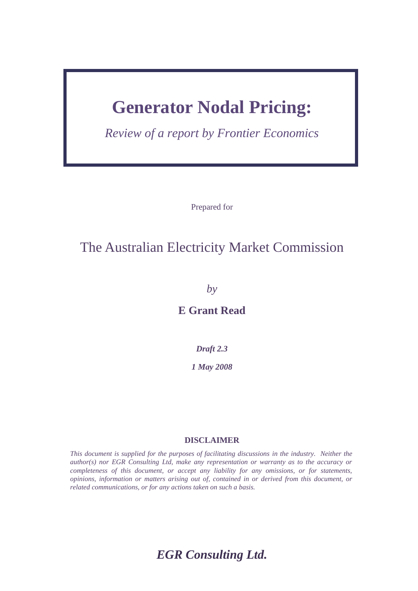# **Generator Nodal Pricing:**

*Review of a report by Frontier Economics*

Prepared for

### The Australian Electricity Market Commission

*by*

**E Grant Read** 

*Draft 2.3*

*1 May 2008*

### **DISCLAIMER**

*This document is supplied for the purposes of facilitating discussions in the industry. Neither the author(s) nor EGR Consulting Ltd, make any representation or warranty as to the accuracy or completeness of this document, or accept any liability for any omissions, or for statements, opinions, information or matters arising out of, contained in or derived from this document, or related communications, or for any actions taken on such a basis.* 

*EGR Consulting Ltd.*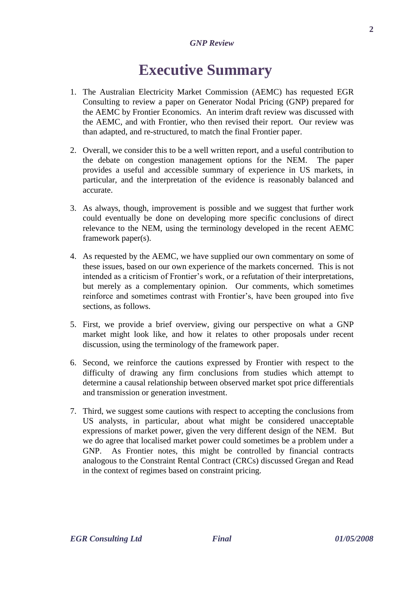# **Executive Summary**

- 1. The Australian Electricity Market Commission (AEMC) has requested EGR Consulting to review a paper on Generator Nodal Pricing (GNP) prepared for the AEMC by Frontier Economics. An interim draft review was discussed with the AEMC, and with Frontier, who then revised their report. Our review was than adapted, and re-structured, to match the final Frontier paper.
- 2. Overall, we consider this to be a well written report, and a useful contribution to the debate on congestion management options for the NEM. The paper provides a useful and accessible summary of experience in US markets, in particular, and the interpretation of the evidence is reasonably balanced and accurate.
- 3. As always, though, improvement is possible and we suggest that further work could eventually be done on developing more specific conclusions of direct relevance to the NEM, using the terminology developed in the recent AEMC framework paper(s).
- 4. As requested by the AEMC, we have supplied our own commentary on some of these issues, based on our own experience of the markets concerned. This is not intended as a criticism of Frontier"s work, or a refutation of their interpretations, but merely as a complementary opinion. Our comments, which sometimes reinforce and sometimes contrast with Frontier"s, have been grouped into five sections, as follows.
- 5. First, we provide a brief overview, giving our perspective on what a GNP market might look like, and how it relates to other proposals under recent discussion, using the terminology of the framework paper.
- 6. Second, we reinforce the cautions expressed by Frontier with respect to the difficulty of drawing any firm conclusions from studies which attempt to determine a causal relationship between observed market spot price differentials and transmission or generation investment.
- 7. Third, we suggest some cautions with respect to accepting the conclusions from US analysts, in particular, about what might be considered unacceptable expressions of market power, given the very different design of the NEM. But we do agree that localised market power could sometimes be a problem under a GNP. As Frontier notes, this might be controlled by financial contracts analogous to the Constraint Rental Contract (CRCs) discussed Gregan and Read in the context of regimes based on constraint pricing.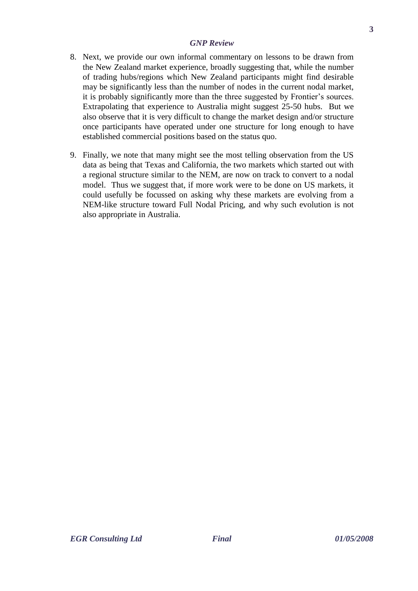- 8. Next, we provide our own informal commentary on lessons to be drawn from the New Zealand market experience, broadly suggesting that, while the number of trading hubs/regions which New Zealand participants might find desirable may be significantly less than the number of nodes in the current nodal market, it is probably significantly more than the three suggested by Frontier"s sources. Extrapolating that experience to Australia might suggest 25-50 hubs. But we also observe that it is very difficult to change the market design and/or structure once participants have operated under one structure for long enough to have established commercial positions based on the status quo.
- 9. Finally, we note that many might see the most telling observation from the US data as being that Texas and California, the two markets which started out with a regional structure similar to the NEM, are now on track to convert to a nodal model. Thus we suggest that, if more work were to be done on US markets, it could usefully be focussed on asking why these markets are evolving from a NEM-like structure toward Full Nodal Pricing, and why such evolution is not also appropriate in Australia.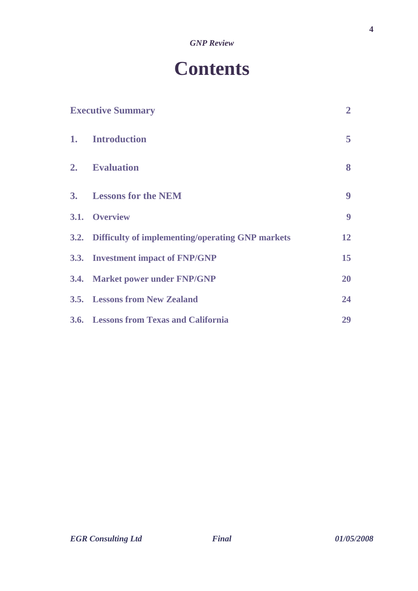# **Contents**

| <b>Executive Summary</b> |                                                       | $\overline{2}$ |
|--------------------------|-------------------------------------------------------|----------------|
|                          | 1. Introduction                                       | 5              |
|                          | 2. Evaluation                                         | 8              |
|                          | 3. Lessons for the NEM                                | 9              |
|                          | 3.1. Overview                                         | 9              |
|                          | 3.2. Difficulty of implementing/operating GNP markets | 12             |
|                          | 3.3. Investment impact of FNP/GNP                     | 15             |
|                          | 3.4. Market power under FNP/GNP                       | 20             |
|                          | <b>3.5.</b> Lessons from New Zealand                  | 24             |
|                          | 3.6. Lessons from Texas and California                | 29             |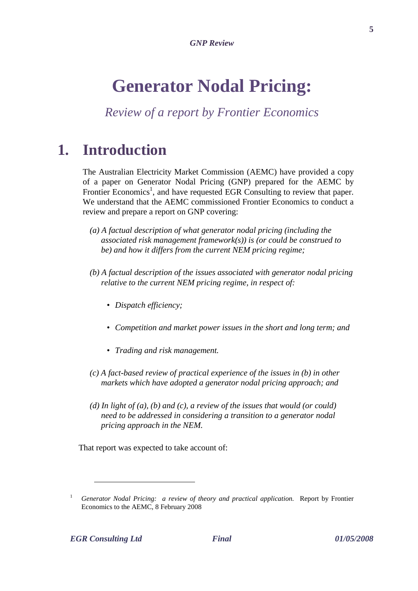# **Generator Nodal Pricing:**

*Review of a report by Frontier Economics*

## **1. Introduction**

The Australian Electricity Market Commission (AEMC) have provided a copy of a paper on Generator Nodal Pricing (GNP) prepared for the AEMC by Frontier Economics<sup>1</sup>, and have requested EGR Consulting to review that paper. We understand that the AEMC commissioned Frontier Economics to conduct a review and prepare a report on GNP covering:

- *(a) A factual description of what generator nodal pricing (including the associated risk management framework(s)) is (or could be construed to be) and how it differs from the current NEM pricing regime;*
- *(b) A factual description of the issues associated with generator nodal pricing relative to the current NEM pricing regime, in respect of:*
	- *Dispatch efficiency;*
	- *Competition and market power issues in the short and long term; and*
	- *Trading and risk management.*
- *(c) A fact-based review of practical experience of the issues in (b) in other markets which have adopted a generator nodal pricing approach; and*
- *(d) In light of (a), (b) and (c), a review of the issues that would (or could) need to be addressed in considering a transition to a generator nodal pricing approach in the NEM.*

That report was expected to take account of:

<sup>&</sup>lt;sup>1</sup> *Generator Nodal Pricing: a review of theory and practical application.* Report by Frontier Economics to the AEMC, 8 February 2008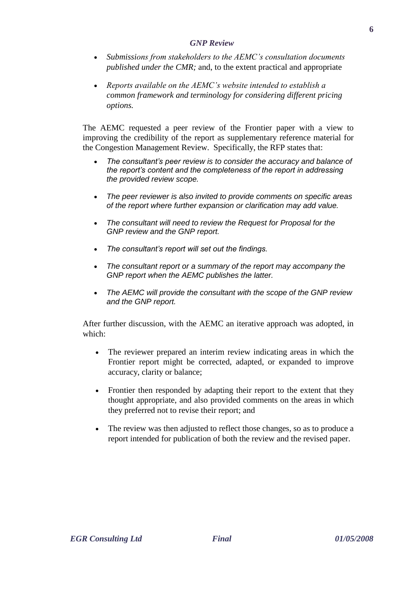- *Submissions from stakeholders to the AEMC's consultation documents published under the CMR;* and, to the extent practical and appropriate
- *Reports available on the AEMC's website intended to establish a common framework and terminology for considering different pricing options.*

The AEMC requested a peer review of the Frontier paper with a view to improving the credibility of the report as supplementary reference material for the Congestion Management Review. Specifically, the RFP states that:

- *The consultant's peer review is to consider the accuracy and balance of the report's content and the completeness of the report in addressing the provided review scope.*
- *The peer reviewer is also invited to provide comments on specific areas of the report where further expansion or clarification may add value.*
- *The consultant will need to review the Request for Proposal for the GNP review and the GNP report.*
- *The consultant's report will set out the findings.*
- *The consultant report or a summary of the report may accompany the GNP report when the AEMC publishes the latter.*
- *The AEMC will provide the consultant with the scope of the GNP review and the GNP report.*

After further discussion, with the AEMC an iterative approach was adopted, in which:

- The reviewer prepared an interim review indicating areas in which the Frontier report might be corrected, adapted, or expanded to improve accuracy, clarity or balance;
- Frontier then responded by adapting their report to the extent that they thought appropriate, and also provided comments on the areas in which they preferred not to revise their report; and
- The review was then adjusted to reflect those changes, so as to produce a report intended for publication of both the review and the revised paper.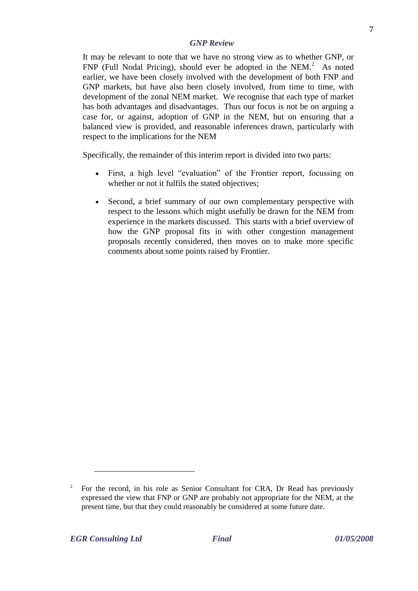It may be relevant to note that we have no strong view as to whether GNP, or  $FNP$  (Full Nodal Pricing), should ever be adopted in the NEM. $^{2}$  As noted earlier, we have been closely involved with the development of both FNP and GNP markets, but have also been closely involved, from time to time, with development of the zonal NEM market. We recognise that each type of market has both advantages and disadvantages. Thus our focus is not be on arguing a case for, or against, adoption of GNP in the NEM, but on ensuring that a balanced view is provided, and reasonable inferences drawn, particularly with respect to the implications for the NEM

Specifically, the remainder of this interim report is divided into two parts:

- First, a high level "evaluation" of the Frontier report, focussing on whether or not it fulfils the stated objectives;
- Second, a brief summary of our own complementary perspective with respect to the lessons which might usefully be drawn for the NEM from experience in the markets discussed. This starts with a brief overview of how the GNP proposal fits in with other congestion management proposals recently considered, then moves on to make more specific comments about some points raised by Frontier.

<u>.</u>

<sup>2</sup> For the record, in his role as Senior Consultant for CRA, Dr Read has previously expressed the view that FNP or GNP are probably not appropriate for the NEM, at the present time, but that they could reasonably be considered at some future date.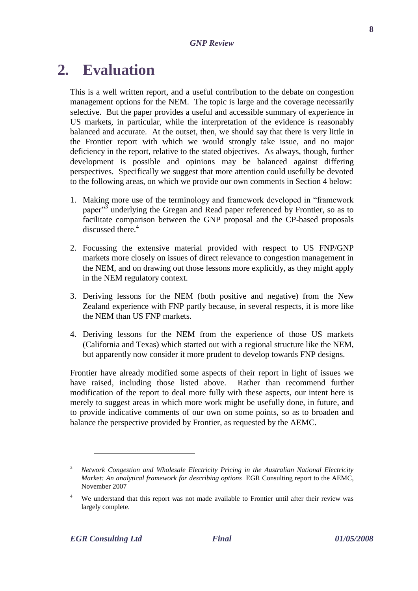# **2. Evaluation**

This is a well written report, and a useful contribution to the debate on congestion management options for the NEM. The topic is large and the coverage necessarily selective. But the paper provides a useful and accessible summary of experience in US markets, in particular, while the interpretation of the evidence is reasonably balanced and accurate. At the outset, then, we should say that there is very little in the Frontier report with which we would strongly take issue, and no major deficiency in the report, relative to the stated objectives. As always, though, further development is possible and opinions may be balanced against differing perspectives. Specifically we suggest that more attention could usefully be devoted to the following areas, on which we provide our own comments in Section 4 below:

- 1. Making more use of the terminology and framework developed in "framework paper<sup>3</sup> underlying the Gregan and Read paper referenced by Frontier, so as to facilitate comparison between the GNP proposal and the CP-based proposals discussed there.<sup>4</sup>
- 2. Focussing the extensive material provided with respect to US FNP/GNP markets more closely on issues of direct relevance to congestion management in the NEM, and on drawing out those lessons more explicitly, as they might apply in the NEM regulatory context.
- 3. Deriving lessons for the NEM (both positive and negative) from the New Zealand experience with FNP partly because, in several respects, it is more like the NEM than US FNP markets.
- 4. Deriving lessons for the NEM from the experience of those US markets (California and Texas) which started out with a regional structure like the NEM, but apparently now consider it more prudent to develop towards FNP designs.

Frontier have already modified some aspects of their report in light of issues we have raised, including those listed above. Rather than recommend further modification of the report to deal more fully with these aspects, our intent here is merely to suggest areas in which more work might be usefully done, in future, and to provide indicative comments of our own on some points, so as to broaden and balance the perspective provided by Frontier, as requested by the AEMC.

<sup>3</sup> *Network Congestion and Wholesale Electricity Pricing in the Australian National Electricity Market: An analytical framework for describing options* EGR Consulting report to the AEMC, November 2007

We understand that this report was not made available to Frontier until after their review was largely complete.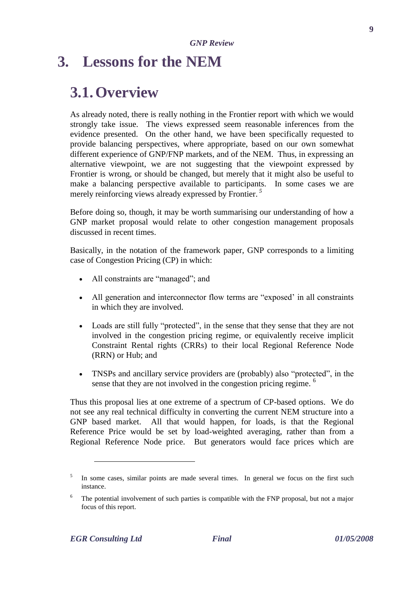### **3. Lessons for the NEM**

### **3.1.Overview**

As already noted, there is really nothing in the Frontier report with which we would strongly take issue. The views expressed seem reasonable inferences from the evidence presented. On the other hand, we have been specifically requested to provide balancing perspectives, where appropriate, based on our own somewhat different experience of GNP/FNP markets, and of the NEM. Thus, in expressing an alternative viewpoint, we are not suggesting that the viewpoint expressed by Frontier is wrong, or should be changed, but merely that it might also be useful to make a balancing perspective available to participants. In some cases we are merely reinforcing views already expressed by Frontier. *<sup>5</sup>*

Before doing so, though, it may be worth summarising our understanding of how a GNP market proposal would relate to other congestion management proposals discussed in recent times.

Basically, in the notation of the framework paper, GNP corresponds to a limiting case of Congestion Pricing (CP) in which:

- All constraints are "managed"; and
- All generation and interconnector flow terms are "exposed" in all constraints in which they are involved.
- Loads are still fully "protected", in the sense that they sense that they are not involved in the congestion pricing regime, or equivalently receive implicit Constraint Rental rights (CRRs) to their local Regional Reference Node (RRN) or Hub; and
- TNSPs and ancillary service providers are (probably) also "protected", in the sense that they are not involved in the congestion pricing regime.  $6$

Thus this proposal lies at one extreme of a spectrum of CP-based options. We do not see any real technical difficulty in converting the current NEM structure into a GNP based market. All that would happen, for loads, is that the Regional Reference Price would be set by load-weighted averaging, rather than from a Regional Reference Node price. But generators would face prices which are

<u>.</u>

<sup>5</sup> In some cases, similar points are made several times. In general we focus on the first such instance.

<sup>&</sup>lt;sup>6</sup> The potential involvement of such parties is compatible with the FNP proposal, but not a major focus of this report.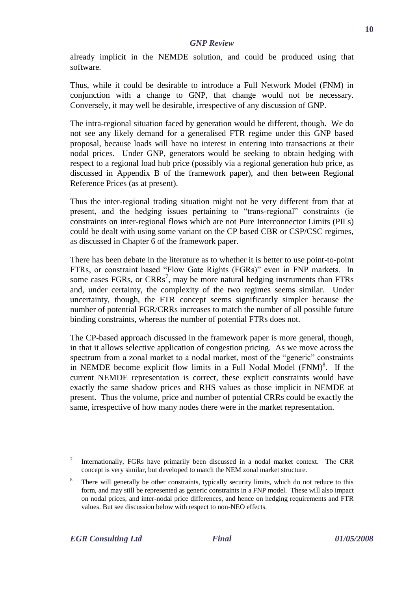already implicit in the NEMDE solution, and could be produced using that software.

Thus, while it could be desirable to introduce a Full Network Model (FNM) in conjunction with a change to GNP, that change would not be necessary. Conversely, it may well be desirable, irrespective of any discussion of GNP.

The intra-regional situation faced by generation would be different, though. We do not see any likely demand for a generalised FTR regime under this GNP based proposal, because loads will have no interest in entering into transactions at their nodal prices. Under GNP, generators would be seeking to obtain hedging with respect to a regional load hub price (possibly via a regional generation hub price, as discussed in Appendix B of the framework paper), and then between Regional Reference Prices (as at present).

Thus the inter-regional trading situation might not be very different from that at present, and the hedging issues pertaining to "trans-regional" constraints (ie constraints on inter-regional flows which are not Pure Interconnector Limits (PILs) could be dealt with using some variant on the CP based CBR or CSP/CSC regimes, as discussed in Chapter 6 of the framework paper.

There has been debate in the literature as to whether it is better to use point-to-point FTRs, or constraint based "Flow Gate Rights (FGRs)" even in FNP markets. In some cases FGRs, or  $CRRs^7$ , may be more natural hedging instruments than FTRs and, under certainty, the complexity of the two regimes seems similar. Under uncertainty, though, the FTR concept seems significantly simpler because the number of potential FGR/CRRs increases to match the number of all possible future binding constraints, whereas the number of potential FTRs does not.

The CP-based approach discussed in the framework paper is more general, though, in that it allows selective application of congestion pricing. As we move across the spectrum from a zonal market to a nodal market, most of the "generic" constraints in NEMDE become explicit flow limits in a Full Nodal Model  $(FNM)^8$ . If the current NEMDE representation is correct, these explicit constraints would have exactly the same shadow prices and RHS values as those implicit in NEMDE at present. Thus the volume, price and number of potential CRRs could be exactly the same, irrespective of how many nodes there were in the market representation.

<sup>7</sup> Internationally, FGRs have primarily been discussed in a nodal market context. The CRR concept is very similar, but developed to match the NEM zonal market structure.

There will generally be other constraints, typically security limits, which do not reduce to this form, and may still be represented as generic constraints in a FNP model. These will also impact on nodal prices, and inter-nodal price differences, and hence on hedging requirements and FTR values. But see discussion below with respect to non-NEO effects.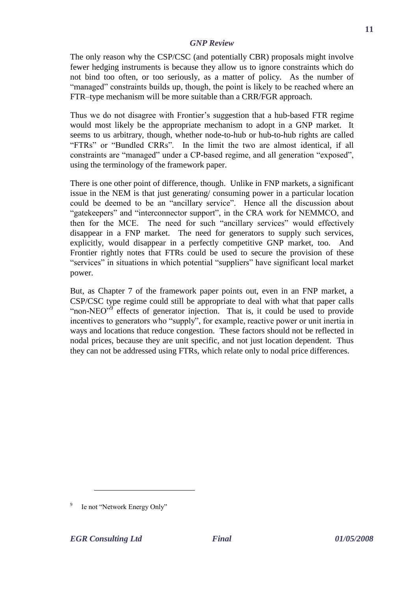The only reason why the CSP/CSC (and potentially CBR) proposals might involve fewer hedging instruments is because they allow us to ignore constraints which do not bind too often, or too seriously, as a matter of policy. As the number of "managed" constraints builds up, though, the point is likely to be reached where an FTR–type mechanism will be more suitable than a CRR/FGR approach.

Thus we do not disagree with Frontier"s suggestion that a hub-based FTR regime would most likely be the appropriate mechanism to adopt in a GNP market. It seems to us arbitrary, though, whether node-to-hub or hub-to-hub rights are called "FTRs" or "Bundled CRRs". In the limit the two are almost identical, if all constraints are "managed" under a CP-based regime, and all generation "exposed", using the terminology of the framework paper.

There is one other point of difference, though. Unlike in FNP markets, a significant issue in the NEM is that just generating/ consuming power in a particular location could be deemed to be an "ancillary service". Hence all the discussion about "gatekeepers" and "interconnector support", in the CRA work for NEMMCO, and then for the MCE. The need for such "ancillary services" would effectively disappear in a FNP market. The need for generators to supply such services, explicitly, would disappear in a perfectly competitive GNP market, too. And Frontier rightly notes that FTRs could be used to secure the provision of these "services" in situations in which potential "suppliers" have significant local market power.

But, as Chapter 7 of the framework paper points out, even in an FNP market, a CSP/CSC type regime could still be appropriate to deal with what that paper calls "non-NEO"<sup>9</sup> effects of generator injection. That is, it could be used to provide incentives to generators who "supply", for example, reactive power or unit inertia in ways and locations that reduce congestion. These factors should not be reflected in nodal prices, because they are unit specific, and not just location dependent. Thus they can not be addressed using FTRs, which relate only to nodal price differences.

<sup>9</sup> Ie not "Network Energy Only"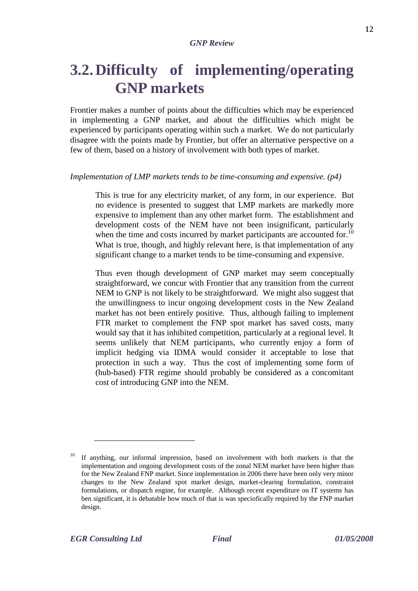## **3.2.Difficulty of implementing/operating GNP markets**

Frontier makes a number of points about the difficulties which may be experienced in implementing a GNP market, and about the difficulties which might be experienced by participants operating within such a market. We do not particularly disagree with the points made by Frontier, but offer an alternative perspective on a few of them, based on a history of involvement with both types of market.

#### *Implementation of LMP markets tends to be time-consuming and expensive. (p4)*

This is true for any electricity market, of any form, in our experience. But no evidence is presented to suggest that LMP markets are markedly more expensive to implement than any other market form. The establishment and development costs of the NEM have not been insignificant, particularly when the time and costs incurred by market participants are accounted for.<sup>10</sup> What is true, though, and highly relevant here, is that implementation of any significant change to a market tends to be time-consuming and expensive.

Thus even though development of GNP market may seem conceptually straightforward, we concur with Frontier that any transition from the current NEM to GNP is not likely to be straightforward. We might also suggest that the unwillingness to incur ongoing development costs in the New Zealand market has not been entirely positive. Thus, although failing to implement FTR market to complement the FNP spot market has saved costs, many would say that it has inhibited competition, particularly at a regional level. It seems unlikely that NEM participants, who currently enjoy a form of implicit hedging via IDMA would consider it acceptable to lose that protection in such a way. Thus the cost of implementing some form of (hub-based) FTR regime should probably be considered as a concomitant cost of introducing GNP into the NEM.

<u>.</u>

<sup>10</sup> If anything, our informal impression, based on involvement with both markets is that the implementation and ongoing development costs of the zonal NEM market have been higher than for the New Zealand FNP market. Since implementation in 2006 there have been only very minor changes to the New Zealand spot market design, market-clearing formulation, constraint formulations, or dispatch engine, for example. Although recent expenditure on IT systems has ben significant, it is debatable how much of that is was speciofically required by the FNP market design.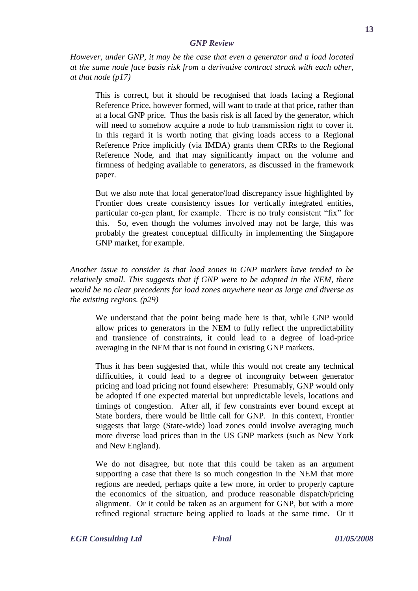*However, under GNP, it may be the case that even a generator and a load located at the same node face basis risk from a derivative contract struck with each other, at that node (p17)*

This is correct, but it should be recognised that loads facing a Regional Reference Price, however formed, will want to trade at that price, rather than at a local GNP price. Thus the basis risk is all faced by the generator, which will need to somehow acquire a node to hub transmission right to cover it. In this regard it is worth noting that giving loads access to a Regional Reference Price implicitly (via IMDA) grants them CRRs to the Regional Reference Node, and that may significantly impact on the volume and firmness of hedging available to generators, as discussed in the framework paper.

But we also note that local generator/load discrepancy issue highlighted by Frontier does create consistency issues for vertically integrated entities, particular co-gen plant, for example. There is no truly consistent "fix" for this. So, even though the volumes involved may not be large, this was probably the greatest conceptual difficulty in implementing the Singapore GNP market, for example.

*Another issue to consider is that load zones in GNP markets have tended to be relatively small. This suggests that if GNP were to be adopted in the NEM, there would be no clear precedents for load zones anywhere near as large and diverse as the existing regions. (p29)*

We understand that the point being made here is that, while GNP would allow prices to generators in the NEM to fully reflect the unpredictability and transience of constraints, it could lead to a degree of load-price averaging in the NEM that is not found in existing GNP markets.

Thus it has been suggested that, while this would not create any technical difficulties, it could lead to a degree of incongruity between generator pricing and load pricing not found elsewhere: Presumably, GNP would only be adopted if one expected material but unpredictable levels, locations and timings of congestion. After all, if few constraints ever bound except at State borders, there would be little call for GNP. In this context, Frontier suggests that large (State-wide) load zones could involve averaging much more diverse load prices than in the US GNP markets (such as New York and New England).

We do not disagree, but note that this could be taken as an argument supporting a case that there is so much congestion in the NEM that more regions are needed, perhaps quite a few more, in order to properly capture the economics of the situation, and produce reasonable dispatch/pricing alignment. Or it could be taken as an argument for GNP, but with a more refined regional structure being applied to loads at the same time. Or it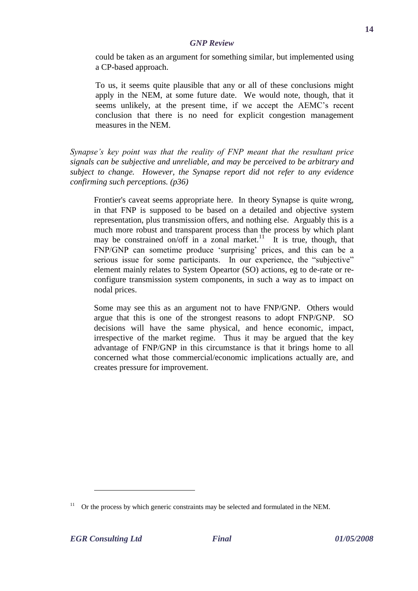could be taken as an argument for something similar, but implemented using a CP-based approach.

To us, it seems quite plausible that any or all of these conclusions might apply in the NEM, at some future date. We would note, though, that it seems unlikely, at the present time, if we accept the AEMC"s recent conclusion that there is no need for explicit congestion management measures in the NEM.

*Synapse's key point was that the reality of FNP meant that the resultant price signals can be subjective and unreliable, and may be perceived to be arbitrary and subject to change. However, the Synapse report did not refer to any evidence confirming such perceptions. (p36)*

Frontier's caveat seems appropriate here. In theory Synapse is quite wrong, in that FNP is supposed to be based on a detailed and objective system representation, plus transmission offers, and nothing else. Arguably this is a much more robust and transparent process than the process by which plant may be constrained on/off in a zonal market.<sup>11</sup> It is true, though, that FNP/GNP can sometime produce "surprising" prices, and this can be a serious issue for some participants. In our experience, the "subjective" element mainly relates to System Opeartor (SO) actions, eg to de-rate or reconfigure transmission system components, in such a way as to impact on nodal prices.

Some may see this as an argument not to have FNP/GNP. Others would argue that this is one of the strongest reasons to adopt FNP/GNP. SO decisions will have the same physical, and hence economic, impact, irrespective of the market regime. Thus it may be argued that the key advantage of FNP/GNP in this circumstance is that it brings home to all concerned what those commercial/economic implications actually are, and creates pressure for improvement.

 $11$  Or the process by which generic constraints may be selected and formulated in the NEM.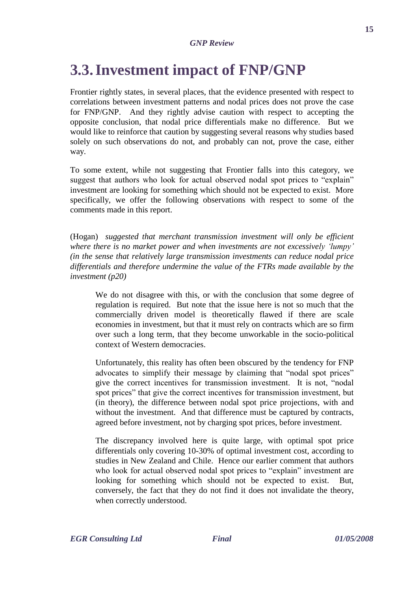# **3.3.Investment impact of FNP/GNP**

Frontier rightly states, in several places, that the evidence presented with respect to correlations between investment patterns and nodal prices does not prove the case for FNP/GNP. And they rightly advise caution with respect to accepting the opposite conclusion, that nodal price differentials make no difference. But we would like to reinforce that caution by suggesting several reasons why studies based solely on such observations do not, and probably can not, prove the case, either way.

To some extent, while not suggesting that Frontier falls into this category, we suggest that authors who look for actual observed nodal spot prices to "explain" investment are looking for something which should not be expected to exist. More specifically, we offer the following observations with respect to some of the comments made in this report.

(Hogan) *suggested that merchant transmission investment will only be efficient where there is no market power and when investments are not excessively 'lumpy' (in the sense that relatively large transmission investments can reduce nodal price differentials and therefore undermine the value of the FTRs made available by the investment (p20)*

We do not disagree with this, or with the conclusion that some degree of regulation is required. But note that the issue here is not so much that the commercially driven model is theoretically flawed if there are scale economies in investment, but that it must rely on contracts which are so firm over such a long term, that they become unworkable in the socio-political context of Western democracies.

Unfortunately, this reality has often been obscured by the tendency for FNP advocates to simplify their message by claiming that "nodal spot prices" give the correct incentives for transmission investment. It is not, "nodal spot prices" that give the correct incentives for transmission investment, but (in theory), the difference between nodal spot price projections, with and without the investment. And that difference must be captured by contracts, agreed before investment, not by charging spot prices, before investment.

The discrepancy involved here is quite large, with optimal spot price differentials only covering 10-30% of optimal investment cost, according to studies in New Zealand and Chile. Hence our earlier comment that authors who look for actual observed nodal spot prices to "explain" investment are looking for something which should not be expected to exist. But, conversely, the fact that they do not find it does not invalidate the theory, when correctly understood.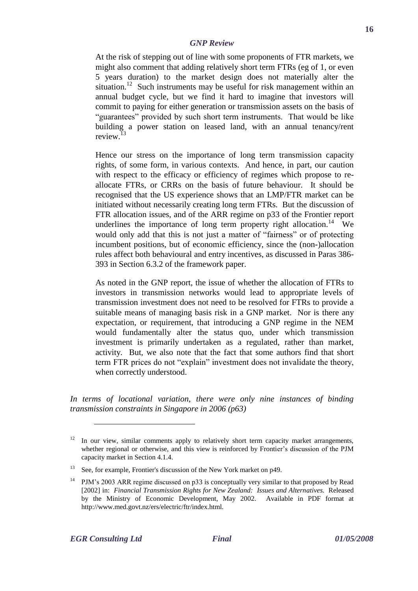At the risk of stepping out of line with some proponents of FTR markets, we might also comment that adding relatively short term FTRs (eg of 1, or even 5 years duration) to the market design does not materially alter the situation.<sup>12</sup> Such instruments may be useful for risk management within an annual budget cycle, but we find it hard to imagine that investors will commit to paying for either generation or transmission assets on the basis of "guarantees" provided by such short term instruments. That would be like building a power station on leased land, with an annual tenancy/rent review.<sup>13</sup>

Hence our stress on the importance of long term transmission capacity rights, of some form, in various contexts. And hence, in part, our caution with respect to the efficacy or efficiency of regimes which propose to reallocate FTRs, or CRRs on the basis of future behaviour. It should be recognised that the US experience shows that an LMP/FTR market can be initiated without necessarily creating long term FTRs. But the discussion of FTR allocation issues, and of the ARR regime on p33 of the Frontier report underlines the importance of long term property right allocation.<sup>14</sup> We would only add that this is not just a matter of "fairness" or of protecting incumbent positions, but of economic efficiency, since the (non-)allocation rules affect both behavioural and entry incentives, as discussed in Paras 386- 393 in Section 6.3.2 of the framework paper.

As noted in the GNP report, the issue of whether the allocation of FTRs to investors in transmission networks would lead to appropriate levels of transmission investment does not need to be resolved for FTRs to provide a suitable means of managing basis risk in a GNP market. Nor is there any expectation, or requirement, that introducing a GNP regime in the NEM would fundamentally alter the status quo, under which transmission investment is primarily undertaken as a regulated, rather than market, activity. But, we also note that the fact that some authors find that short term FTR prices do not "explain" investment does not invalidate the theory, when correctly understood.

*In terms of locational variation, there were only nine instances of binding transmission constraints in Singapore in 2006 (p63)*

 $12$  In our view, similar comments apply to relatively short term capacity market arrangements, whether regional or otherwise, and this view is reinforced by Frontier"s discussion of the PJM capacity market in Section 4.1.4.

<sup>&</sup>lt;sup>13</sup> See, for example, Frontier's discussion of the New York market on p49.

<sup>&</sup>lt;sup>14</sup> PJM's 2003 ARR regime discussed on p33 is conceptually very similar to that proposed by Read [2002] in: *Financial Transmission Rights for New Zealand: Issues and Alternatives.* Released by the Ministry of Economic Development, May 2002. Available in PDF format at http://www.med.govt.nz/ers/electric/ftr/index.html.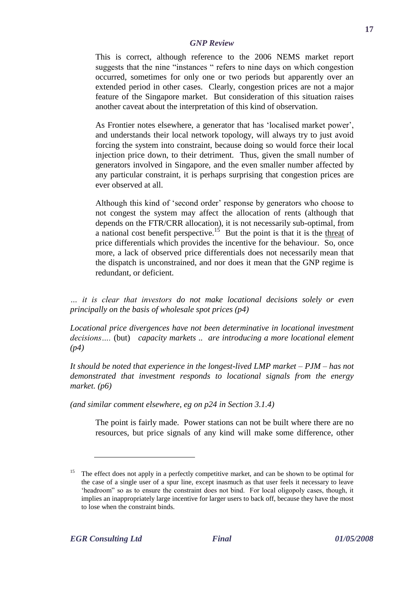This is correct, although reference to the 2006 NEMS market report suggests that the nine "instances " refers to nine days on which congestion occurred, sometimes for only one or two periods but apparently over an extended period in other cases. Clearly, congestion prices are not a major feature of the Singapore market. But consideration of this situation raises another caveat about the interpretation of this kind of observation.

As Frontier notes elsewhere, a generator that has 'localised market power', and understands their local network topology, will always try to just avoid forcing the system into constraint, because doing so would force their local injection price down, to their detriment. Thus, given the small number of generators involved in Singapore, and the even smaller number affected by any particular constraint, it is perhaps surprising that congestion prices are ever observed at all.

Although this kind of 'second order' response by generators who choose to not congest the system may affect the allocation of rents (although that depends on the FTR/CRR allocation), it is not necessarily sub-optimal, from a national cost benefit perspective.<sup>15</sup> But the point is that it is the threat of price differentials which provides the incentive for the behaviour. So, once more, a lack of observed price differentials does not necessarily mean that the dispatch is unconstrained, and nor does it mean that the GNP regime is redundant, or deficient.

*… it is clear that investors do not make locational decisions solely or even principally on the basis of wholesale spot prices (p4)*

*Locational price divergences have not been determinative in locational investment decisions….* (but) *capacity markets .. are introducing a more locational element (p4)*

*It should be noted that experience in the longest-lived LMP market – PJM – has not demonstrated that investment responds to locational signals from the energy market. (p6)*

*(and similar comment elsewhere, eg on p24 in Section 3.1.4)*

The point is fairly made. Power stations can not be built where there are no resources, but price signals of any kind will make some difference, other

The effect does not apply in a perfectly competitive market, and can be shown to be optimal for the case of a single user of a spur line, except inasmuch as that user feels it necessary to leave "headroom" so as to ensure the constraint does not bind. For local oligopoly cases, though, it implies an inappropriately large incentive for larger users to back off, because they have the most to lose when the constraint binds.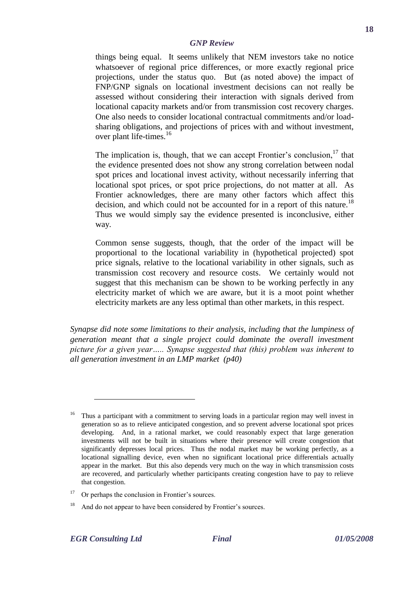things being equal. It seems unlikely that NEM investors take no notice whatsoever of regional price differences, or more exactly regional price projections, under the status quo. But (as noted above) the impact of FNP/GNP signals on locational investment decisions can not really be assessed without considering their interaction with signals derived from locational capacity markets and/or from transmission cost recovery charges. One also needs to consider locational contractual commitments and/or loadsharing obligations, and projections of prices with and without investment, over plant life-times.<sup>16</sup>

The implication is, though, that we can accept Frontier's conclusion.<sup>17</sup> that the evidence presented does not show any strong correlation between nodal spot prices and locational invest activity, without necessarily inferring that locational spot prices, or spot price projections, do not matter at all. As Frontier acknowledges, there are many other factors which affect this decision, and which could not be accounted for in a report of this nature.<sup>18</sup> Thus we would simply say the evidence presented is inconclusive, either way.

Common sense suggests, though, that the order of the impact will be proportional to the locational variability in (hypothetical projected) spot price signals, relative to the locational variability in other signals, such as transmission cost recovery and resource costs. We certainly would not suggest that this mechanism can be shown to be working perfectly in any electricity market of which we are aware, but it is a moot point whether electricity markets are any less optimal than other markets, in this respect.

*Synapse did note some limitations to their analysis, including that the lumpiness of generation meant that a single project could dominate the overall investment picture for a given year….. Synapse suggested that (this) problem was inherent to all generation investment in an LMP market (p40)*

<sup>16</sup> Thus a participant with a commitment to serving loads in a particular region may well invest in generation so as to relieve anticipated congestion, and so prevent adverse locational spot prices developing. And, in a rational market, we could reasonably expect that large generation investments will not be built in situations where their presence will create congestion that significantly depresses local prices. Thus the nodal market may be working perfectly, as a locational signalling device, even when no significant locational price differentials actually appear in the market. But this also depends very much on the way in which transmission costs are recovered, and particularly whether participants creating congestion have to pay to relieve that congestion.

 $17$  Or perhaps the conclusion in Frontier's sources.

<sup>18</sup> And do not appear to have been considered by Frontier's sources.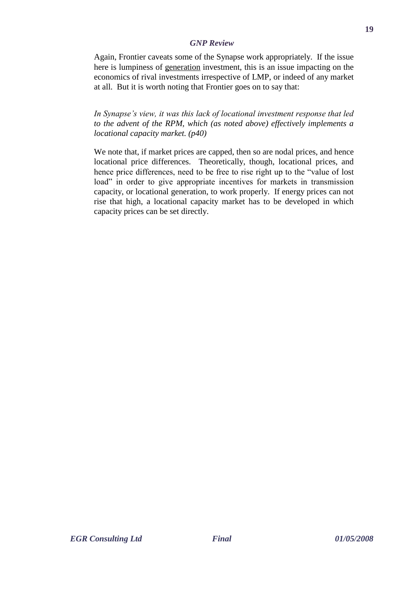Again, Frontier caveats some of the Synapse work appropriately. If the issue here is lumpiness of generation investment, this is an issue impacting on the economics of rival investments irrespective of LMP, or indeed of any market at all. But it is worth noting that Frontier goes on to say that:

*In Synapse's view, it was this lack of locational investment response that led to the advent of the RPM, which (as noted above) effectively implements a locational capacity market. (p40)*

We note that, if market prices are capped, then so are nodal prices, and hence locational price differences. Theoretically, though, locational prices, and hence price differences, need to be free to rise right up to the "value of lost load" in order to give appropriate incentives for markets in transmission capacity, or locational generation, to work properly. If energy prices can not rise that high, a locational capacity market has to be developed in which capacity prices can be set directly.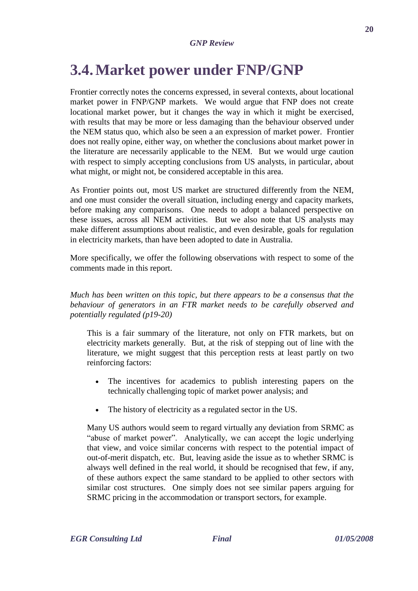# **3.4.Market power under FNP/GNP**

Frontier correctly notes the concerns expressed, in several contexts, about locational market power in FNP/GNP markets. We would argue that FNP does not create locational market power, but it changes the way in which it might be exercised, with results that may be more or less damaging than the behaviour observed under the NEM status quo, which also be seen a an expression of market power. Frontier does not really opine, either way, on whether the conclusions about market power in the literature are necessarily applicable to the NEM. But we would urge caution with respect to simply accepting conclusions from US analysts, in particular, about what might, or might not, be considered acceptable in this area.

As Frontier points out, most US market are structured differently from the NEM, and one must consider the overall situation, including energy and capacity markets, before making any comparisons. One needs to adopt a balanced perspective on these issues, across all NEM activities. But we also note that US analysts may make different assumptions about realistic, and even desirable, goals for regulation in electricity markets, than have been adopted to date in Australia.

More specifically, we offer the following observations with respect to some of the comments made in this report.

*Much has been written on this topic, but there appears to be a consensus that the behaviour of generators in an FTR market needs to be carefully observed and potentially regulated (p19-20)*

This is a fair summary of the literature, not only on FTR markets, but on electricity markets generally. But, at the risk of stepping out of line with the literature, we might suggest that this perception rests at least partly on two reinforcing factors:

- The incentives for academics to publish interesting papers on the technically challenging topic of market power analysis; and
- The history of electricity as a regulated sector in the US.

Many US authors would seem to regard virtually any deviation from SRMC as "abuse of market power". Analytically, we can accept the logic underlying that view, and voice similar concerns with respect to the potential impact of out-of-merit dispatch, etc. But, leaving aside the issue as to whether SRMC is always well defined in the real world, it should be recognised that few, if any, of these authors expect the same standard to be applied to other sectors with similar cost structures. One simply does not see similar papers arguing for SRMC pricing in the accommodation or transport sectors, for example.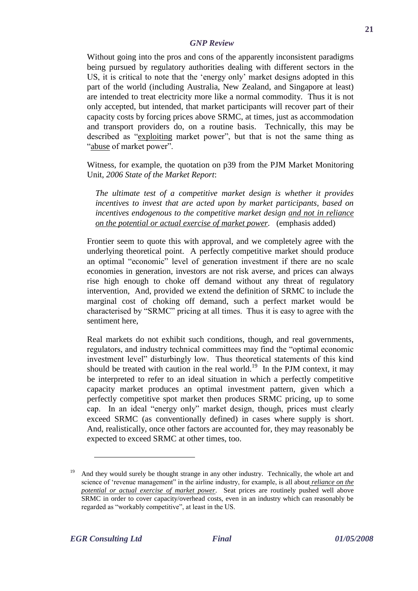Without going into the pros and cons of the apparently inconsistent paradigms being pursued by regulatory authorities dealing with different sectors in the US, it is critical to note that the "energy only" market designs adopted in this part of the world (including Australia, New Zealand, and Singapore at least) are intended to treat electricity more like a normal commodity. Thus it is not only accepted, but intended, that market participants will recover part of their capacity costs by forcing prices above SRMC, at times, just as accommodation and transport providers do, on a routine basis. Technically, this may be described as "exploiting market power", but that is not the same thing as "abuse of market power".

Witness, for example, the quotation on p39 from the PJM Market Monitoring Unit, *2006 State of the Market Report*:

*The ultimate test of a competitive market design is whether it provides incentives to invest that are acted upon by market participants, based on incentives endogenous to the competitive market design and not in reliance on the potential or actual exercise of market power.* (emphasis added)

Frontier seem to quote this with approval, and we completely agree with the underlying theoretical point. A perfectly competitive market should produce an optimal "economic" level of generation investment if there are no scale economies in generation, investors are not risk averse, and prices can always rise high enough to choke off demand without any threat of regulatory intervention, And, provided we extend the definition of SRMC to include the marginal cost of choking off demand, such a perfect market would be characterised by "SRMC" pricing at all times. Thus it is easy to agree with the sentiment here,

Real markets do not exhibit such conditions, though, and real governments, regulators, and industry technical committees may find the "optimal economic investment level" disturbingly low. Thus theoretical statements of this kind should be treated with caution in the real world.<sup>19</sup> In the PJM context, it may be interpreted to refer to an ideal situation in which a perfectly competitive capacity market produces an optimal investment pattern, given which a perfectly competitive spot market then produces SRMC pricing, up to some cap. In an ideal "energy only" market design, though, prices must clearly exceed SRMC (as conventionally defined) in cases where supply is short. And, realistically, once other factors are accounted for, they may reasonably be expected to exceed SRMC at other times, too.

And they would surely be thought strange in any other industry. Technically, the whole art and science of "revenue management" in the airline industry, for example, is all about *reliance on the potential or actual exercise of market power*. Seat prices are routinely pushed well above SRMC in order to cover capacity/overhead costs, even in an industry which can reasonably be regarded as "workably competitive", at least in the US.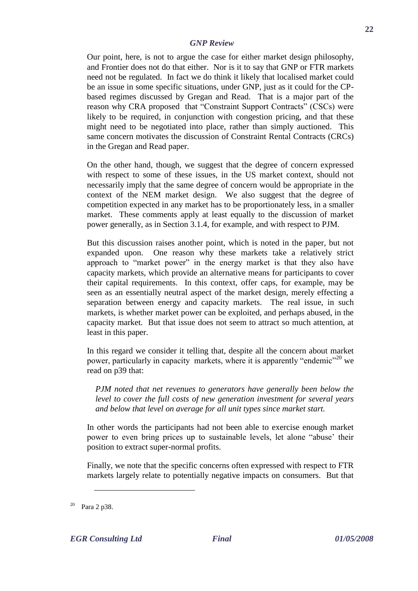Our point, here, is not to argue the case for either market design philosophy, and Frontier does not do that either. Nor is it to say that GNP or FTR markets need not be regulated. In fact we do think it likely that localised market could be an issue in some specific situations, under GNP, just as it could for the CPbased regimes discussed by Gregan and Read. That is a major part of the reason why CRA proposed that "Constraint Support Contracts" (CSCs) were likely to be required, in conjunction with congestion pricing, and that these might need to be negotiated into place, rather than simply auctioned. This same concern motivates the discussion of Constraint Rental Contracts (CRCs) in the Gregan and Read paper.

On the other hand, though, we suggest that the degree of concern expressed with respect to some of these issues, in the US market context, should not necessarily imply that the same degree of concern would be appropriate in the context of the NEM market design. We also suggest that the degree of competition expected in any market has to be proportionately less, in a smaller market. These comments apply at least equally to the discussion of market power generally, as in Section 3.1.4, for example, and with respect to PJM.

But this discussion raises another point, which is noted in the paper, but not expanded upon. One reason why these markets take a relatively strict approach to "market power" in the energy market is that they also have capacity markets, which provide an alternative means for participants to cover their capital requirements. In this context, offer caps, for example, may be seen as an essentially neutral aspect of the market design, merely effecting a separation between energy and capacity markets. The real issue, in such markets, is whether market power can be exploited, and perhaps abused, in the capacity market. But that issue does not seem to attract so much attention, at least in this paper.

In this regard we consider it telling that, despite all the concern about market power, particularly in capacity markets, where it is apparently "endemic"<sup>20</sup> we read on p39 that:

*PJM noted that net revenues to generators have generally been below the level to cover the full costs of new generation investment for several years and below that level on average for all unit types since market start.*

In other words the participants had not been able to exercise enough market power to even bring prices up to sustainable levels, let alone "abuse" their position to extract super-normal profits.

Finally, we note that the specific concerns often expressed with respect to FTR markets largely relate to potentially negative impacts on consumers. But that

 $20$  Para 2 p38.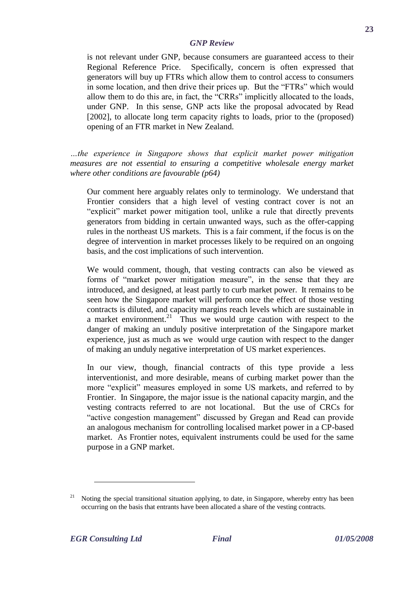is not relevant under GNP, because consumers are guaranteed access to their Regional Reference Price. Specifically, concern is often expressed that generators will buy up FTRs which allow them to control access to consumers in some location, and then drive their prices up. But the "FTRs" which would allow them to do this are, in fact, the "CRRs" implicitly allocated to the loads, under GNP. In this sense, GNP acts like the proposal advocated by Read [2002], to allocate long term capacity rights to loads, prior to the (proposed) opening of an FTR market in New Zealand.

*…the experience in Singapore shows that explicit market power mitigation measures are not essential to ensuring a competitive wholesale energy market where other conditions are favourable (p64)*

Our comment here arguably relates only to terminology. We understand that Frontier considers that a high level of vesting contract cover is not an "explicit" market power mitigation tool, unlike a rule that directly prevents generators from bidding in certain unwanted ways, such as the offer-capping rules in the northeast US markets. This is a fair comment, if the focus is on the degree of intervention in market processes likely to be required on an ongoing basis, and the cost implications of such intervention.

We would comment, though, that vesting contracts can also be viewed as forms of "market power mitigation measure", in the sense that they are introduced, and designed, at least partly to curb market power. It remains to be seen how the Singapore market will perform once the effect of those vesting contracts is diluted, and capacity margins reach levels which are sustainable in a market environment.<sup>21</sup> Thus we would urge caution with respect to the danger of making an unduly positive interpretation of the Singapore market experience, just as much as we would urge caution with respect to the danger of making an unduly negative interpretation of US market experiences.

In our view, though, financial contracts of this type provide a less interventionist, and more desirable, means of curbing market power than the more "explicit" measures employed in some US markets, and referred to by Frontier. In Singapore, the major issue is the national capacity margin, and the vesting contracts referred to are not locational. But the use of CRCs for "active congestion management" discussed by Gregan and Read can provide an analogous mechanism for controlling localised market power in a CP-based market. As Frontier notes, equivalent instruments could be used for the same purpose in a GNP market.

Noting the special transitional situation applying, to date, in Singapore, whereby entry has been occurring on the basis that entrants have been allocated a share of the vesting contracts.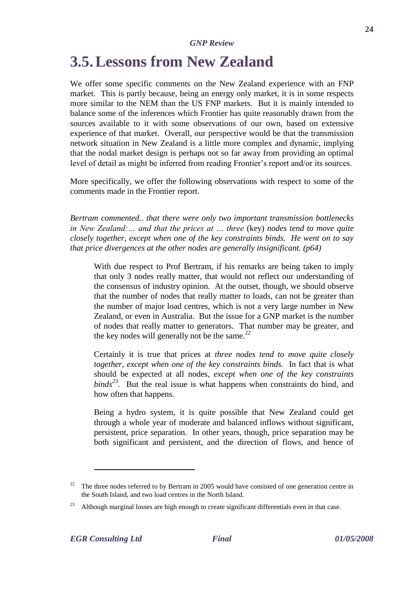### **3.5.Lessons from New Zealand**

We offer some specific comments on the New Zealand experience with an FNP market. This is partly because, being an energy only market, it is in some respects more similar to the NEM than the US FNP markets. But it is mainly intended to balance some of the inferences which Frontier has quite reasonably drawn from the sources available to it with some observations of our own, based on extensive experience of that market. Overall, our perspective would be that the transmission network situation in New Zealand is a little more complex and dynamic, implying that the nodal market design is perhaps not so far away from providing an optimal level of detail as might be inferred from reading Frontier's report and/or its sources.

More specifically, we offer the following observations with respect to some of the comments made in the Frontier report.

*Bertram commented.. that there were only two important transmission bottlenecks in New Zealand: ... and that the prices at ... three (key) nodes tend to move quite closely together, except when one of the key constraints binds. He went on to say that price divergences at the other nodes are generally insignificant. (p64)*

With due respect to Prof Bertram, if his remarks are being taken to imply that only 3 nodes really matter, that would not reflect our understanding of the consensus of industry opinion. At the outset, though, we should observe that the number of nodes that really matter to loads, can not be greater than the number of major load centres, which is not a very large number in New Zealand, or even in Australia. But the issue for a GNP market is the number of nodes that really matter to generators. That number may be greater, and the key nodes will generally not be the same. $^{22}$ 

Certainly it is true that prices at *three nodes tend to move quite closely together, except when one of the key constraints binds.* In fact that is what should be expected at all nodes, *except when one of the key constraints*   $binds<sup>23</sup>$ . But the real issue is what happens when constraints do bind, and how often that happens.

Being a hydro system, it is quite possible that New Zealand could get through a whole year of moderate and balanced inflows without significant, persistent, price separation. In other years, though, price separation may be both significant and persistent, and the direction of flows, and hence of

 $22$  The three nodes referred to by Bertram in 2005 would have consisted of one generation centre in the South Island, and two load centres in the North Island.

<sup>&</sup>lt;sup>23</sup> Although marginal losses are high enough to create significant differentials even in that case.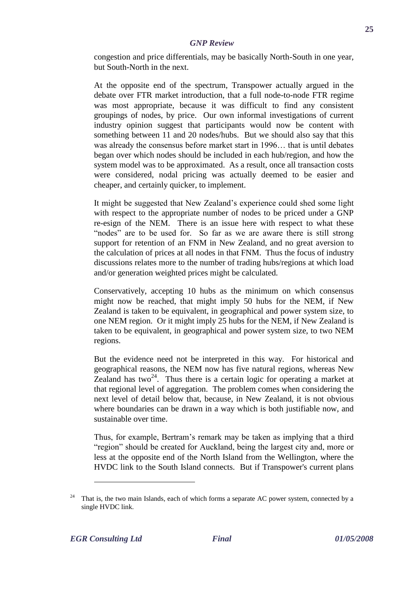congestion and price differentials, may be basically North-South in one year, but South-North in the next.

At the opposite end of the spectrum, Transpower actually argued in the debate over FTR market introduction, that a full node-to-node FTR regime was most appropriate, because it was difficult to find any consistent groupings of nodes, by price. Our own informal investigations of current industry opinion suggest that participants would now be content with something between 11 and 20 nodes/hubs. But we should also say that this was already the consensus before market start in 1996… that is until debates began over which nodes should be included in each hub/region, and how the system model was to be approximated. As a result, once all transaction costs were considered, nodal pricing was actually deemed to be easier and cheaper, and certainly quicker, to implement.

It might be suggested that New Zealand"s experience could shed some light with respect to the appropriate number of nodes to be priced under a GNP re-esign of the NEM. There is an issue here with respect to what these "nodes" are to be used for. So far as we are aware there is still strong support for retention of an FNM in New Zealand, and no great aversion to the calculation of prices at all nodes in that FNM. Thus the focus of industry discussions relates more to the number of trading hubs/regions at which load and/or generation weighted prices might be calculated.

Conservatively, accepting 10 hubs as the minimum on which consensus might now be reached, that might imply 50 hubs for the NEM, if New Zealand is taken to be equivalent, in geographical and power system size, to one NEM region. Or it might imply 25 hubs for the NEM, if New Zealand is taken to be equivalent, in geographical and power system size, to two NEM regions.

But the evidence need not be interpreted in this way. For historical and geographical reasons, the NEM now has five natural regions, whereas New Zealand has two<sup>24</sup>. Thus there is a certain logic for operating a market at that regional level of aggregation. The problem comes when considering the next level of detail below that, because, in New Zealand, it is not obvious where boundaries can be drawn in a way which is both justifiable now, and sustainable over time.

Thus, for example, Bertram"s remark may be taken as implying that a third "region" should be created for Auckland, being the largest city and, more or less at the opposite end of the North Island from the Wellington, where the HVDC link to the South Island connects. But if Transpower's current plans

That is, the two main Islands, each of which forms a separate AC power system, connected by a single HVDC link.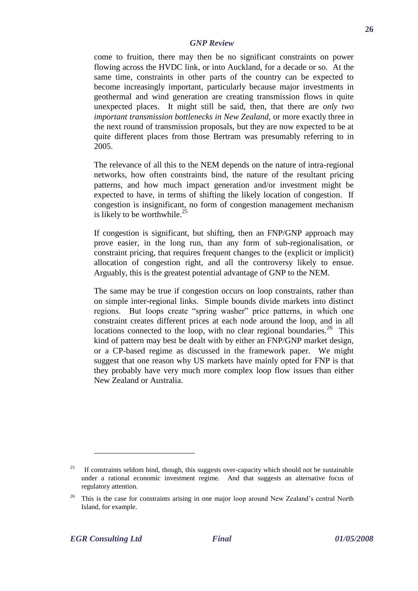come to fruition, there may then be no significant constraints on power flowing across the HVDC link, or into Auckland, for a decade or so. At the same time, constraints in other parts of the country can be expected to become increasingly important, particularly because major investments in geothermal and wind generation are creating transmission flows in quite unexpected places. It might still be said, then, that there are *only two important transmission bottlenecks in New Zealand,* or more exactly three in the next round of transmission proposals, but they are now expected to be at quite different places from those Bertram was presumably referring to in 2005.

The relevance of all this to the NEM depends on the nature of intra-regional networks, how often constraints bind, the nature of the resultant pricing patterns, and how much impact generation and/or investment might be expected to have, in terms of shifting the likely location of congestion. If congestion is insignificant, no form of congestion management mechanism is likely to be worthwhile. $25$ 

If congestion is significant, but shifting, then an FNP/GNP approach may prove easier, in the long run, than any form of sub-regionalisation, or constraint pricing, that requires frequent changes to the (explicit or implicit) allocation of congestion right, and all the controversy likely to ensue. Arguably, this is the greatest potential advantage of GNP to the NEM.

The same may be true if congestion occurs on loop constraints, rather than on simple inter-regional links. Simple bounds divide markets into distinct regions. But loops create "spring washer" price patterns, in which one constraint creates different prices at each node around the loop, and in all locations connected to the loop, with no clear regional boundaries.<sup>26</sup> This kind of pattern may best be dealt with by either an FNP/GNP market design, or a CP-based regime as discussed in the framework paper. We might suggest that one reason why US markets have mainly opted for FNP is that they probably have very much more complex loop flow issues than either New Zealand or Australia.

<sup>&</sup>lt;sup>25</sup> If constraints seldom bind, though, this suggests over-capacity which should not be sustainable under a rational economic investment regime. And that suggests an alternative focus of regulatory attention.

 $26$  This is the case for constraints arising in one major loop around New Zealand's central North Island, for example.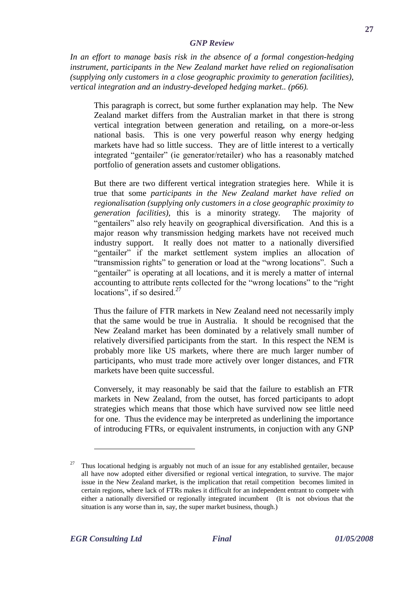*In an effort to manage basis risk in the absence of a formal congestion-hedging instrument, participants in the New Zealand market have relied on regionalisation (supplying only customers in a close geographic proximity to generation facilities), vertical integration and an industry-developed hedging market.. (p66).*

This paragraph is correct, but some further explanation may help. The New Zealand market differs from the Australian market in that there is strong vertical integration between generation and retailing, on a more-or-less national basis. This is one very powerful reason why energy hedging markets have had so little success. They are of little interest to a vertically integrated "gentailer" (ie generator/retailer) who has a reasonably matched portfolio of generation assets and customer obligations.

But there are two different vertical integration strategies here. While it is true that some *participants in the New Zealand market have relied on regionalisation (supplying only customers in a close geographic proximity to generation facilities),* this is a minority strategy*.* The majority of "gentailers" also rely heavily on geographical diversification. And this is a major reason why transmission hedging markets have not received much industry support. It really does not matter to a nationally diversified "gentailer" if the market settlement system implies an allocation of "transmission rights" to generation or load at the "wrong locations". Such a "gentailer" is operating at all locations, and it is merely a matter of internal accounting to attribute rents collected for the "wrong locations" to the "right locations", if so desired. $27$ 

Thus the failure of FTR markets in New Zealand need not necessarily imply that the same would be true in Australia. It should be recognised that the New Zealand market has been dominated by a relatively small number of relatively diversified participants from the start. In this respect the NEM is probably more like US markets, where there are much larger number of participants, who must trade more actively over longer distances, and FTR markets have been quite successful.

Conversely, it may reasonably be said that the failure to establish an FTR markets in New Zealand, from the outset, has forced participants to adopt strategies which means that those which have survived now see little need for one. Thus the evidence may be interpreted as underlining the importance of introducing FTRs, or equivalent instruments, in conjuction with any GNP

<sup>27</sup> Thus locational hedging is arguably not much of an issue for any established gentailer, because all have now adopted either diversified or regional vertical integration, to survive. The major issue in the New Zealand market, is the implication that retail competition becomes limited in certain regions, where lack of FTRs makes it difficult for an independent entrant to compete with either a nationally diversified or regionally integrated incumbent (It is not obvious that the situation is any worse than in, say, the super market business, though.)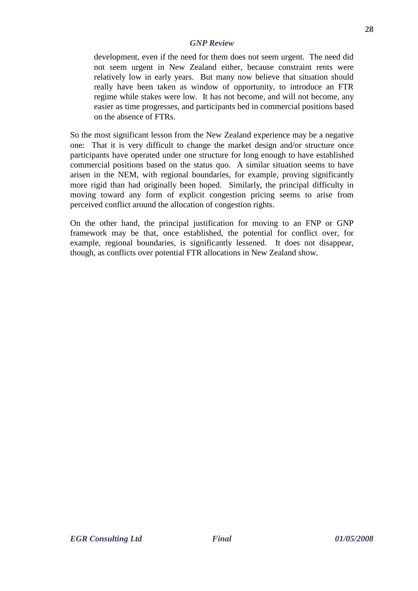development, even if the need for them does not seem urgent. The need did not seem urgent in New Zealand either, because constraint rents were relatively low in early years. But many now believe that situation should really have been taken as window of opportunity, to introduce an FTR regime while stakes were low. It has not become, and will not become, any easier as time progresses, and participants bed in commercial positions based on the absence of FTRs.

So the most significant lesson from the New Zealand experience may be a negative one: That it is very difficult to change the market design and/or structure once participants have operated under one structure for long enough to have established commercial positions based on the status quo. A similar situation seems to have arisen in the NEM, with regional boundaries, for example, proving significantly more rigid than had originally been hoped. Similarly, the principal difficulty in moving toward any form of explicit congestion pricing seems to arise from perceived conflict around the allocation of congestion rights.

On the other hand, the principal justification for moving to an FNP or GNP framework may be that, once established, the potential for conflict over, for example, regional boundaries, is significantly lessened. It does not disappear, though, as conflicts over potential FTR allocations in New Zealand show.